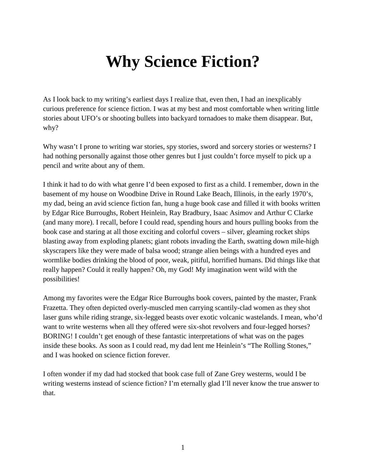## **Why Science Fiction?**

As I look back to my writing's earliest days I realize that, even then, I had an inexplicably curious preference for science fiction. I was at my best and most comfortable when writing little stories about UFO's or shooting bullets into backyard tornadoes to make them disappear. But, why?

Why wasn't I prone to writing war stories, spy stories, sword and sorcery stories or westerns? I had nothing personally against those other genres but I just couldn't force myself to pick up a pencil and write about any of them.

I think it had to do with what genre I'd been exposed to first as a child. I remember, down in the basement of my house on Woodbine Drive in Round Lake Beach, Illinois, in the early 1970's, my dad, being an avid science fiction fan, hung a huge book case and filled it with books written by Edgar Rice Burroughs, Robert Heinlein, Ray Bradbury, Isaac Asimov and Arthur C Clarke (and many more). I recall, before I could read, spending hours and hours pulling books from the book case and staring at all those exciting and colorful covers – silver, gleaming rocket ships blasting away from exploding planets; giant robots invading the Earth, swatting down mile-high skyscrapers like they were made of balsa wood; strange alien beings with a hundred eyes and wormlike bodies drinking the blood of poor, weak, pitiful, horrified humans. Did things like that really happen? Could it really happen? Oh, my God! My imagination went wild with the possibilities!

Among my favorites were the Edgar Rice Burroughs book covers, painted by the master, Frank Frazetta. They often depicted overly-muscled men carrying scantily-clad women as they shot laser guns while riding strange, six-legged beasts over exotic volcanic wastelands. I mean, who'd want to write westerns when all they offered were six-shot revolvers and four-legged horses? BORING! I couldn't get enough of these fantastic interpretations of what was on the pages inside these books. As soon as I could read, my dad lent me Heinlein's "The Rolling Stones," and I was hooked on science fiction forever.

I often wonder if my dad had stocked that book case full of Zane Grey westerns, would I be writing westerns instead of science fiction? I'm eternally glad I'll never know the true answer to that.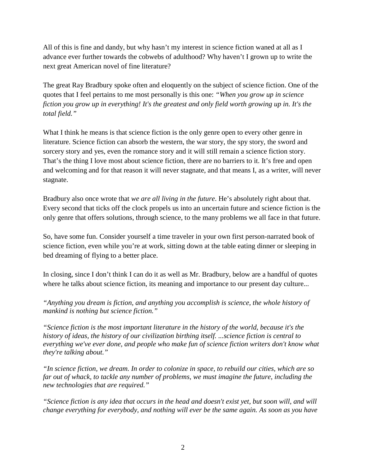All of this is fine and dandy, but why hasn't my interest in science fiction waned at all as I advance ever further towards the cobwebs of adulthood? Why haven't I grown up to write the next great American novel of fine literature?

The great Ray Bradbury spoke often and eloquently on the subject of science fiction. One of the quotes that I feel pertains to me most personally is this one: *"When you grow up in science fiction you grow up in everything! It's the greatest and only field worth growing up in. It's the total field."*

What I think he means is that science fiction is the only genre open to every other genre in literature. Science fiction can absorb the western, the war story, the spy story, the sword and sorcery story and yes, even the romance story and it will still remain a science fiction story. That's the thing I love most about science fiction, there are no barriers to it. It's free and open and welcoming and for that reason it will never stagnate, and that means I, as a writer, will never stagnate.

Bradbury also once wrote that *we are all living in the future*. He's absolutely right about that. Every second that ticks off the clock propels us into an uncertain future and science fiction is the only genre that offers solutions, through science, to the many problems we all face in that future.

So, have some fun. Consider yourself a time traveler in your own first person-narrated book of science fiction, even while you're at work, sitting down at the table eating dinner or sleeping in bed dreaming of flying to a better place.

In closing, since I don't think I can do it as well as Mr. Bradbury, below are a handful of quotes where he talks about science fiction, its meaning and importance to our present day culture...

*"Anything you dream is fiction, and anything you accomplish is science, the whole history of mankind is nothing but science fiction."*

*"Science fiction is the most important literature in the history of the world, because it's the history of ideas, the history of our civilization birthing itself. ...science fiction is central to everything we've ever done, and people who make fun of science fiction writers don't know what they're talking about."*

*"In science fiction, we dream. In order to colonize in space, to rebuild our cities, which are so far out of whack, to tackle any number of problems, we must imagine the future, including the new technologies that are required."*

*"Science fiction is any idea that occurs in the head and doesn't exist yet, but soon will, and will change everything for everybody, and nothing will ever be the same again. As soon as you have*